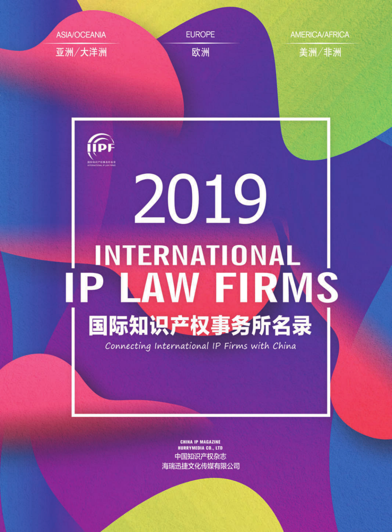



# 2019 **INTERNATIONAL** IP LAW FIRMS 国际知识产权事务所名录

Connecting International IP Firms with China

**CHINA IP MAGAZINE HURRYMEDIA CO., LTD** 中国知识产权杂志 海瑞迅捷文化传媒有限公司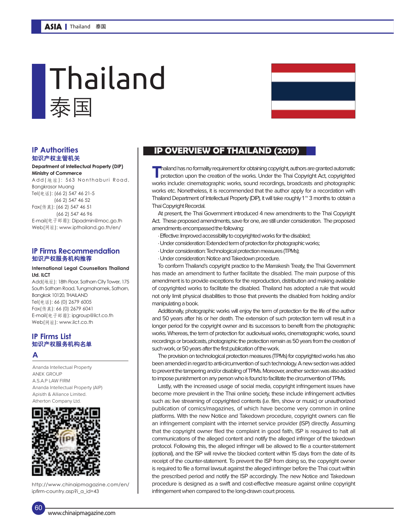## 泰国 Thailand



### 知识产权主管机关

#### **Department of Intellectual Property (DIP) Ministry of Commerce**

Add(地址): 563 Nonthaburi Road, Bangkrasor Muang Tel(电话): (66 2) 547 46 21-5 (66 2) 547 46 52 Fax(传真): (66 2) 547 46 51 (66 2) 547 46 96 E-mail(电子邮箱): Dipadmin@moc.go.th Web(网址): www.ipthailand.go.th/en/

#### **IP Firms Recommendation** 知识产权服务机构推荐

#### **International Legal Counsellors Thailand Ltd. ILCT**

Add(地址): 18th Floor, Sathorn City Tower, 175 South Sathorn Road, Tungmahamek, Sathorn, Bangkok 10120, THAILAND Tel(电话): 66 (0) 2679 6005 Fax(传真): 66 (0) 2679 6041 E-mail(电子邮箱): ipgroup@ilct.co.th Web(网址): www.ilct.co.th

#### **IP Firms List** 知识产权服务机构名单

#### **A**

 $60$ 

Ananda Intellectual Property ANEK GROUP  $A S A P I A W FIP M$ Ananda Intellectual Property (AIP) Apisith & Alliance Limited. Atherton Company Ltd.



http://www.chinaipmagazine.com/en/ ipfirm-country.asp?i\_a\_id=43

#### **IP Authorities IP OVERVIEW OF THAILAND (2019)**

**T** hailand has no formality requirement for obtaining copyright, authors are granted automatic protection upon the creation of the works. Under the Thai Copyright Act, copyrighted works include: cinematographic works, sound recordings, broadcasts and photographic works etc. Nonetheless, it is recommended that the author apply for a recordation with Thailand Department of Intellectual Property (DIP), it will take roughly 1 $\degree$  3 months to obtain a Thai Copyright Recordal.

At present, the Thai Government introduced 4 new amendments to the Thai Copyright Act. These proposed amendments, save for one, are still under consideration. The proposed amendments encompassed the following:

- · Effective: Improved accessibility to copyrighted works for the disabled;
- · Under consideration: Extended term of protection for photographic works;
- · Under consideration: Technological protection measures (TPMs);
- · Under consideration: Notice and Takedown procedure.

To conform Thailand's copyright practice to the Marrakesh Treaty, the Thai Government has made an amendment to further facilitate the disabled. The main purpose of this amendment is to provide exceptions for the reproduction, distribution and making available of copyrighted works to facilitate the disabled. Thailand has adopted a rule that would not only limit physical disabilities to those that prevents the disabled from holding and/or manipulating a book.

Additionally, photographic works will enjoy the term of protection for the life of the author and 50 years after his or her death. The extension of such protection term will result in a longer period for the copyright owner and its successors to benefit from the photographic works. Whereas, the term of protection for: audiovisual works, cinematographic works, sound recordings or broadcasts, photographic the protection remain as 50 years from the creation of such work, or 50 years after the first publication of the work.

The provision on technological protection measures (TPMs) for copyrighted works has also been amended in regard to anti-circumvention of such technology. A new section was added to prevent the tampering and/or disabling of TPMs. Moreover, another section was also added to impose punishment on any person who is found to facilitate the circumvention of TPMs.

Lastly, with the increased usage of social media, copyright infringement issues have become more prevalent in the Thai online society, these include infringement activities such as: live streaming of copyrighted contents (i.e. film, show or music) or unauthorized publication of comics/magazines, of which have become very common in online platforms. With the new Notice and Takedown procedure, copyright owners can file an infringement complaint with the internet service provider (ISP) directly. Assuming that the copyright owner filed the complaint in good faith, ISP is required to halt all communications of the alleged content and notify the alleged infringer of the takedown protocol. Following this, the alleged infringer will be allowed to file a counter-statement (optional), and the ISP will revive the blocked content within 15 days from the date of its receipt of the counter-statement. To prevent the ISP from doing so, the copyright owner is required to file a formal lawsuit against the alleged infringer before the Thai court within the prescribed period and notify the ISP accordingly. The new Notice and Takedown procedure is designed as a swift and cost-effective measure against online copyright infringement when compared to the long-drawn court process.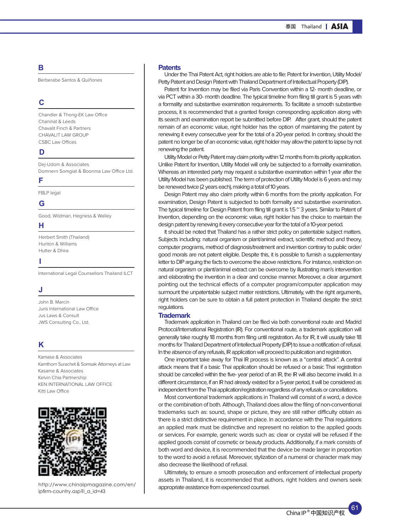#### **B**

Berberabe Santos & Quiñones

#### **C**

Chandler & Thong-EK Law Office Chaninat & Leeds Chavalit Finch & Partners CHAVALIT LAW GROUP CSBC Law Offices

#### **D**

Dej-Udom & Associates Domnern Somgiat & Boonma Law Office Ltd.

#### **F**

FBLP legal

#### **G**

Good, Wildman, Hegness & Walley

#### **H**

Herbert Smith (Thailand) Hunton & Williams Hutter & Dhira

#### **I**

International Legal Counsellors Thailand ILCT

#### **J**

John B. Marcin Juris International Law Office Jus Laws & Consult JWS Consulting Co., Ltd.

#### **K**

Kamase & Associates Kamthorn Surachet & Somsak Attorneys at Law Kasame & Associates Kelvin Chia Partnership KEN INTERNATIONAL LAW OFFICE Kitti Law Office



http://www.chinaipmagazine.com/en/ ipfirm-country.asp?i\_a\_id=43

#### **Patents**

Under the Thai Patent Act, right holders are able to file: Patent for Invention, Utility Model/ Petty Patent and Design Patent with Thailand Department of Intellectual Property (DIP).

Patent for Invention may be filed via Paris Convention within a 12- month deadline, or via PCT within a 30- month deadline. The typical timeline from filing till grant is 5 years with a formality and substantive examination requirements. To facilitate a smooth substantive process, it is recommended that a granted foreign corresponding application along with its search and examination report be submitted before DIP. After grant, should the patent remain of an economic value, right holder has the option of maintaining the patent by renewing it every consecutive year for the total of a 20-year period. In contrary, should the patent no longer be of an economic value, right holder may allow the patent to lapse by not renewing the patent.

Utility Model or Petty Patent may claim priority within 12 months from its priority application. Unlike Patent for Invention, Utility Model will only be subjected to a formality examination. Whereas an interested party may request a substantive examination within 1 year after the Utility Model has been published. The term of protection of Utility Model is 6 years and may be renewed twice (2 years each), making a total of 10 years.

Design Patent may also claim priority within 6 months from the priority application. For examination, Design Patent is subjected to both formality and substantive examination. The typical timeline for Design Patent from filing till grant is 1.5 ° 3 years. Similar to Patent of Invention, depending on the economic value, right holder has the choice to maintain the design patent by renewing it every consecutive year for the total of a 10-year period.

It should be noted that Thailand has a rather strict policy on patentable subject matters. Subjects including: natural organism or plant/animal extract, scientific method and theory, computer programs, method of diagnosis/treatment and invention contrary to public order/ good morals are not patent eligible. Despite this, it is possible to furnish a supplementary letter to DIP arguing the facts to overcome the above restrictions. For instance, restriction on natural organism or plant/animal extract can be overcome by illustrating man's intervention and elaborating the invention in a clear and concise manner. Moreover, a clear argument pointing out the technical effects of a computer program/computer application may surmount the unpatentable subject matter restrictions. Ultimately, with the right arguments, right holders can be sure to obtain a full patent protection in Thailand despite the strict regulations.

#### **Trademark**

Trademark application in Thailand can be filed via both conventional route and Madrid Protocol/International Registration (IR). For conventional route, a trademark application will generally take roughly 18 months from filing until registration. As for IR, it will usually take 18 months for Thailand Department of Intellectual Property (DIP) to issue a notification of refusal. In the absence of any refusals, IR application will proceed to publication and registration.

One important take away for Thai IR process is known as a "central attack". A central attack means that if a basic Thai application should be refused or a basic Thai registration should be cancelled within the five- year period of an IR, the IR will also become invalid. In a different circumstance, if an IR had already existed for a 5-year period, it will be considered as independent from the Thai application/registration regardless of any refusals or cancellations.

Most conventional trademark applications in Thailand will consist of a word, a device or the combination of both. Although, Thailand does allow the filing of non-conventional trademarks such as: sound, shape or picture, they are still rather difficulty obtain as there is a strict distinctive requirement in place. In accordance with the Thai regulations an applied mark must be distinctive and represent no relation to the applied goods or services. For example, generic words such as: clear or crystal will be refused if the applied goods consist of cosmetic or beauty products. Additionally, if a mark consists of both word and device, it is recommended that the device be made larger in proportion to the word to avoid a refusal. Moreover, stylization of a numeral or character mark may also decrease the likelihood of refusal.

Ultimately, to ensure a smooth prosecution and enforcement of intellectual property assets in Thailand, it is recommended that authors, right holders and owners seek appropriate assistance from experienced counsel.

61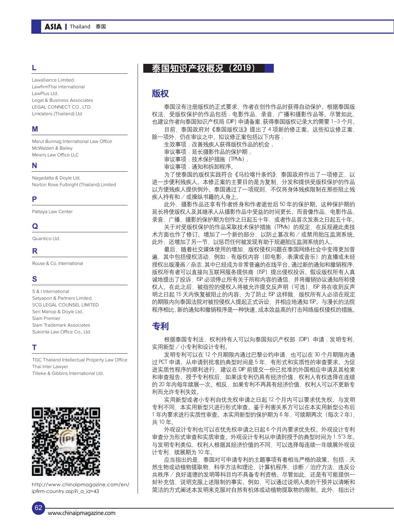#### **L**

Lawalliance Limited. LawfirmThai International LawPlus Ltd. Legal & Business Associates LEGAL CONNECT CO., LTD. Linklaters (Thailand) Ltd

#### **M**

Marut Bunnag International Law Office McWalden & Bailey Meiers Law Office LLC

#### **N**

Nagadatta & Doyle Ltd. Norton Rose Fulbright (Thailand) Limited

#### **P**

Pattaya Law Center

#### **Q**

Quantico Ltd.

#### **R**

Rouse & Co. International

#### **S**

S & I International Satyapon & Partners Limited. SCG LEGAL COUNSEL LIMITED. Seri Manop & Doyle Ltd. Siam Premier Siam Trademark Associates Sukonta Law Office Co., Ltd.

#### **T**

TGC Thailand Intellectual Property Law Office Thai Inter Lawyer Tilleke & Gibbins International Ltd.



http://www.chinaipmagazine.com/en/ ipfirm-country.asp?i\_a\_id=43

#### 泰国知识产权概况 (2019)

#### 版权

泰国没有注册版权的正式要求,作者在创作作品时获得自动保护。根据泰国版 权法,受版权保护的作品包括 :电影作品、录音、广播和摄影作品等。尽管如此, 也建议作者向泰国知识产权局(DIP)申请备案,获得泰国版权记录大约需要 1-3 个月。 目前,泰国政府对《泰国版权法》提出了 4 项新的修正案。这些拟议修正案,

除一项外,仍在审议之中。拟议修正案包括以下内容:

生效事项 :改善残疾人获得版权作品的机会 ;

审议事项:延长摄影作品的保护期;

审议事项 :技术保护措施(TPMs);

审议事项 :通知和拆卸程序。

为了使泰国的版权实践符合《马拉喀什条约》,泰国政府作出了一项修正,以 进一步便利残疾人。本修正案的主要目的是为复制、分发和提供受版权保护的作品 以方便残疾人提供例外。泰国通过了一项规则,不仅将身体残疾限制在那些阻止残 疾人持有和 / 或操纵书籍的人身上。

此外,摄影作品还享有作者终身和作者逝世后 50 年的保护期。这种保护期的 延长将使版权人及其继承人从摄影作品中受益的时间更长。而音像作品、电影作品、 录音、广播、摄影的保护期为创作之日起五十年,或者作品首次发表之日起五十年。

关于对受版权保护的作品采取技术保护措施(TPMs)的规定,在反规避此类技 术方面也作了修订。增加了一个新的部分,以防止篡改和 / 或禁用胎压监测系统。 此外,还增加了另一节,以惩罚任何被发现有助于规避胎压监测系统的人。

最后,随着社交媒体使用的增加,版权侵权问题在泰国网络社会中变得更加普 遍,其中包括侵权活动,例如 :有版权内容(即电影、表演或音乐)的直播或未经 授权出版漫画/杂志,其中已经成为非常普遍的在线平台。通过新的通知和撤销程序, 版权所有者可以直接向互联网服务提供商(ISP)提出侵权投诉。假设版权所有人真 诚地提出了投诉,ISP 必须停止所有关于所称内容的通信,并将撤销协议通知所称侵 权人。在此之后,被指控的侵权人将被允许提交反声明(可选),ISP 将在收到反声 明之日起 15 天内恢复被阻止的内容。为了防止 ISP 这样做, 版权所有人必须在规定 的期限内向泰国法院对被控侵权人提起正式诉讼, 并相应地通知 ISP。与漫长的法院 程序相比,新的通知和撤销程序是一种快速、成本效益高的打击网络版权侵权的措施。

#### 专利

根据泰国专利法,权利持有人可以向泰国知识产权部(DIP)申请 :发明专利、 实用新型 / 小专利和设计专利。

发明专利可以在 12 个月期限内通过巴黎公约申请,也可以在 30 个月期限内通 过 PCT 申请。从申请到批准的典型时间是 5 年, 有形式和实质性的审查要求。为促 进实质性程序的顺利进行,建议在 DIP 前提交一份已批准的外国相应申请及其检索 和审查报告。授予专利权后,如果该专利仍具有经济价值,权利人有权选择在连续 的 20 年内每年续展一次。相反,如果专利不再具有经济价值,权利人可以不更新专 利而允许专利失效。

实用新型或者小专利自优先权申请之日起 12 个月内可以要求优先权。与发明 专利不同,本实用新型只进行形式审查。鉴于利害关系方可以在本实用新型公布后 1 年内要求进行实质性审查。本实用新型的保护期为 6 年,可续期两次(每次 2 年), 共 10 年。

外观设计专利也可以在优先权申请之日起 6 个月内要求优先权。外观设计专利 审查分为形式审查和实质审查。外观设计专利从申请到授予的典型时间为 1.5~3 年。 与发明专利类似,权利人根据其经济价值的不同,可以选择每连续一年续展外观设 计专利,续展期为10年。

应当指出的是, 泰国对可申请专利的主题事项有着相当严格的政策。包括: 天 然生物或动植物提取物、科学方法和理论、计算机程序、诊断 / 治疗方法、违反公 共秩序 / 良好道德的发明等科目均不具备专利资格。尽管如此,还是有可能提供一 封补充信,说明克服上述限制的事实。例如,可以通过说明人类的干预并以清晰和 简洁的方式阐述本发明来克服对自然有机体或动植物提取物的限制。此外,指出计